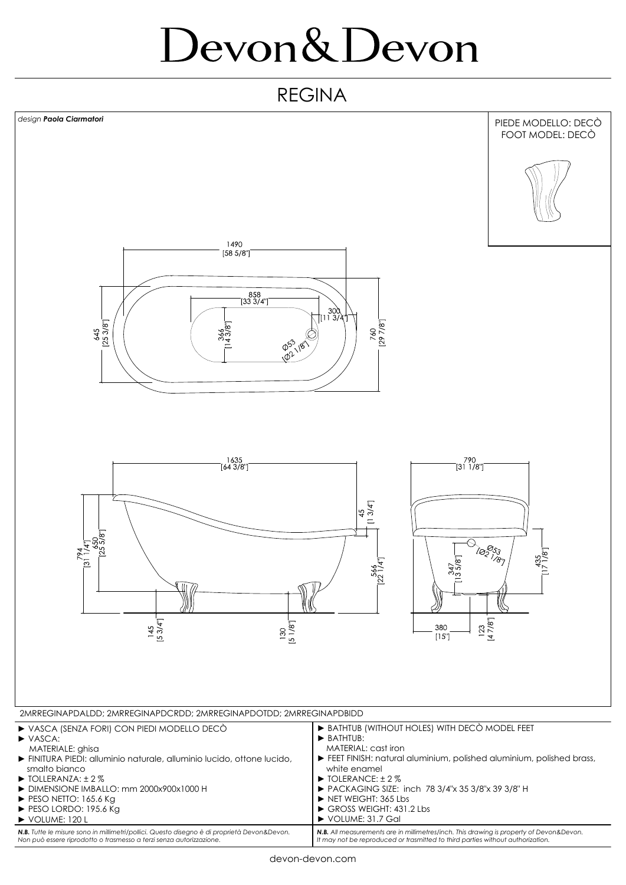## Devon&Devon

## REGINA